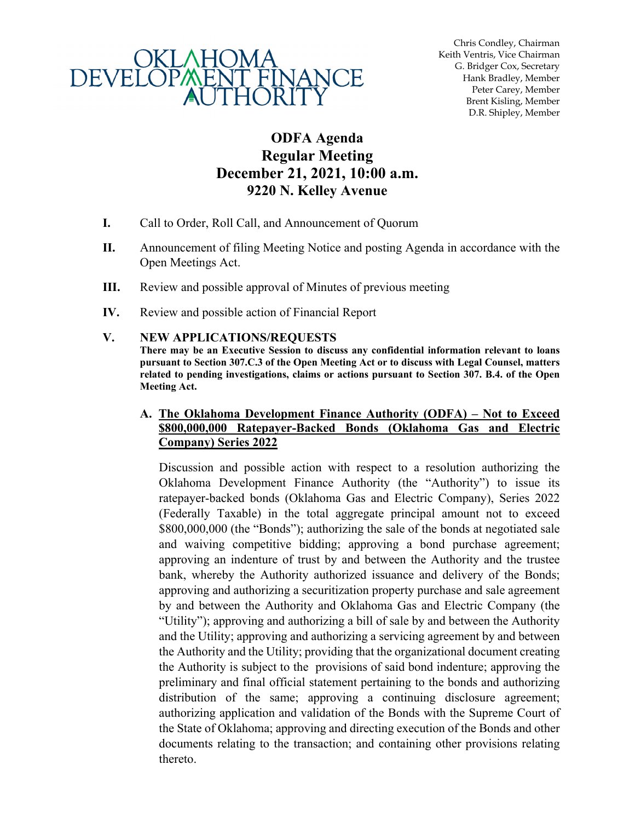

Chris Condley, Chairman Keith Ventris, Vice Chairman G. Bridger Cox, Secretary Hank Bradley, Member Peter Carey, Member Brent Kisling, Member D.R. Shipley, Member

# **ODFA Agenda Regular Meeting December 21, 2021, 10:00 a.m. 9220 N. Kelley Avenue**

- **I.** Call to Order, Roll Call, and Announcement of Quorum
- **II.** Announcement of filing Meeting Notice and posting Agenda in accordance with the Open Meetings Act.
- **III.** Review and possible approval of Minutes of previous meeting
- **IV.** Review and possible action of Financial Report

#### **V. NEW APPLICATIONS/REQUESTS**

**There may be an Executive Session to discuss any confidential information relevant to loans pursuant to Section 307.C.3 of the Open Meeting Act or to discuss with Legal Counsel, matters related to pending investigations, claims or actions pursuant to Section 307. B.4. of the Open Meeting Act.** 

#### **A. The Oklahoma Development Finance Authority (ODFA) – Not to Exceed \$800,000,000 Ratepayer-Backed Bonds (Oklahoma Gas and Electric Company) Series 2022**

Discussion and possible action with respect to a resolution authorizing the Oklahoma Development Finance Authority (the "Authority") to issue its ratepayer-backed bonds (Oklahoma Gas and Electric Company), Series 2022 (Federally Taxable) in the total aggregate principal amount not to exceed \$800,000,000 (the "Bonds"); authorizing the sale of the bonds at negotiated sale and waiving competitive bidding; approving a bond purchase agreement; approving an indenture of trust by and between the Authority and the trustee bank, whereby the Authority authorized issuance and delivery of the Bonds; approving and authorizing a securitization property purchase and sale agreement by and between the Authority and Oklahoma Gas and Electric Company (the "Utility"); approving and authorizing a bill of sale by and between the Authority and the Utility; approving and authorizing a servicing agreement by and between the Authority and the Utility; providing that the organizational document creating the Authority is subject to the provisions of said bond indenture; approving the preliminary and final official statement pertaining to the bonds and authorizing distribution of the same; approving a continuing disclosure agreement; authorizing application and validation of the Bonds with the Supreme Court of the State of Oklahoma; approving and directing execution of the Bonds and other documents relating to the transaction; and containing other provisions relating thereto.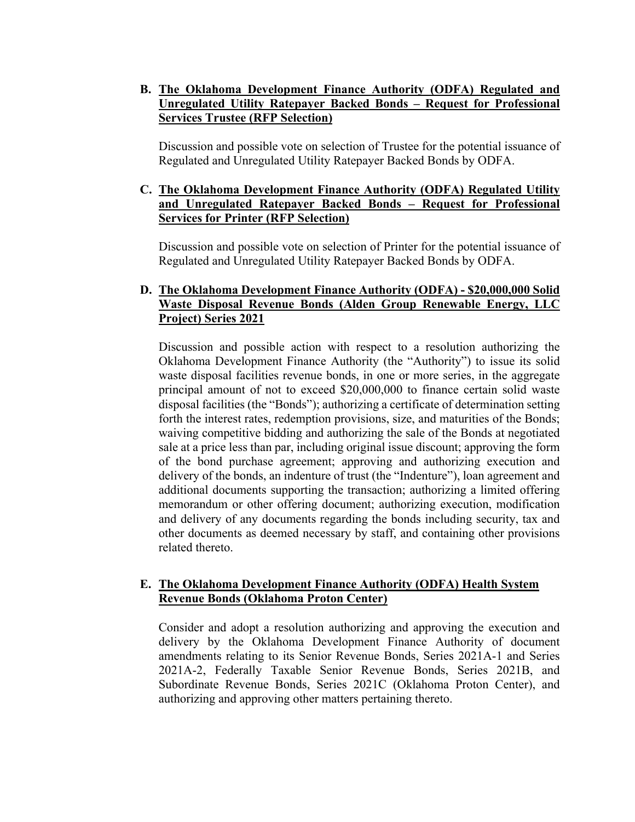# **B. The Oklahoma Development Finance Authority (ODFA) Regulated and Unregulated Utility Ratepayer Backed Bonds – Request for Professional Services Trustee (RFP Selection)**

Discussion and possible vote on selection of Trustee for the potential issuance of Regulated and Unregulated Utility Ratepayer Backed Bonds by ODFA.

#### **C. The Oklahoma Development Finance Authority (ODFA) Regulated Utility and Unregulated Ratepayer Backed Bonds – Request for Professional Services for Printer (RFP Selection)**

Discussion and possible vote on selection of Printer for the potential issuance of Regulated and Unregulated Utility Ratepayer Backed Bonds by ODFA.

#### **D. The Oklahoma Development Finance Authority (ODFA) - \$20,000,000 Solid Waste Disposal Revenue Bonds (Alden Group Renewable Energy, LLC Project) Series 2021**

Discussion and possible action with respect to a resolution authorizing the Oklahoma Development Finance Authority (the "Authority") to issue its solid waste disposal facilities revenue bonds, in one or more series, in the aggregate principal amount of not to exceed \$20,000,000 to finance certain solid waste disposal facilities (the "Bonds"); authorizing a certificate of determination setting forth the interest rates, redemption provisions, size, and maturities of the Bonds; waiving competitive bidding and authorizing the sale of the Bonds at negotiated sale at a price less than par, including original issue discount; approving the form of the bond purchase agreement; approving and authorizing execution and delivery of the bonds, an indenture of trust (the "Indenture"), loan agreement and additional documents supporting the transaction; authorizing a limited offering memorandum or other offering document; authorizing execution, modification and delivery of any documents regarding the bonds including security, tax and other documents as deemed necessary by staff, and containing other provisions related thereto.

#### **E. The Oklahoma Development Finance Authority (ODFA) Health System Revenue Bonds (Oklahoma Proton Center)**

Consider and adopt a resolution authorizing and approving the execution and delivery by the Oklahoma Development Finance Authority of document amendments relating to its Senior Revenue Bonds, Series 2021A-1 and Series 2021A-2, Federally Taxable Senior Revenue Bonds, Series 2021B, and Subordinate Revenue Bonds, Series 2021C (Oklahoma Proton Center), and authorizing and approving other matters pertaining thereto.